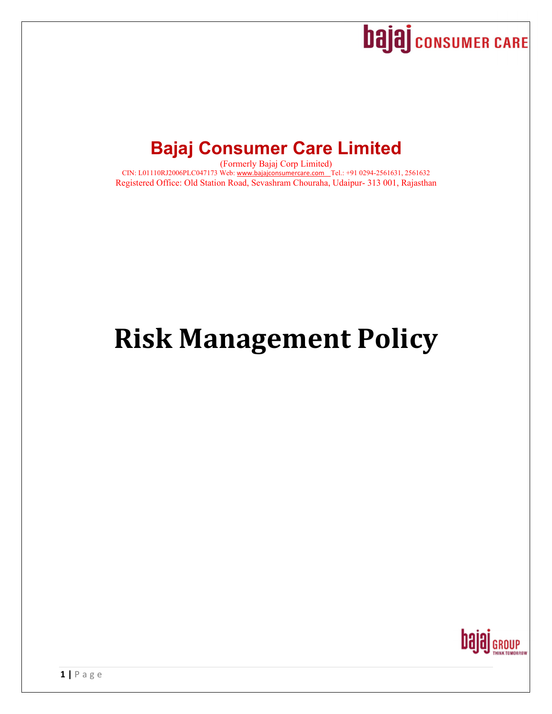

# **Bajaj Consumer Care Limited**

(Formerly Bajaj Corp Limited) CIN: L01110RJ2006PLC047173 Web: www.bajajconsumercare.com Tel.: +91 0294-2561631, 2561632 Registered Office: Old Station Road, Sevashram Chouraha, Udaipur- 313 001, Rajasthan

# **Risk Management Policy**

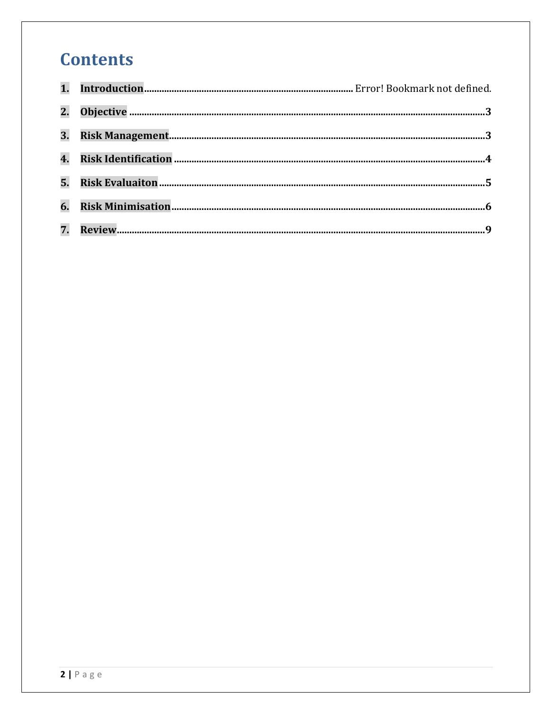# **Contents**

| 3. |  |
|----|--|
| 4. |  |
|    |  |
| 6. |  |
|    |  |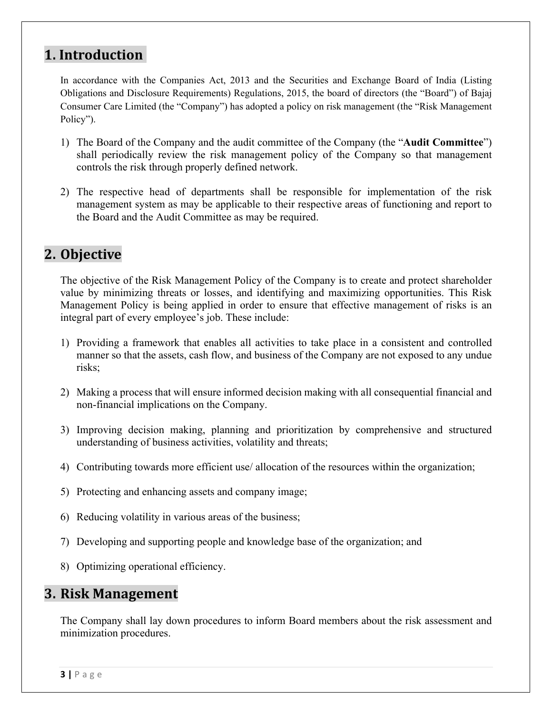### 1. **Introduction**

In accordance with the Companies Act, 2013 and the Securities and Exchange Board of India (Listing Obligations and Disclosure Requirements) Regulations, 2015, the board of directors (the "Board") of Bajaj Consumer Care Limited (the "Company") has adopted a policy on risk management (the "Risk Management Policy").

- 1) The Board of the Company and the audit committee of the Company (the "**Audit Committee**") shall periodically review the risk management policy of the Company so that management controls the risk through properly defined network.
- 2) The respective head of departments shall be responsible for implementation of the risk management system as may be applicable to their respective areas of functioning and report to the Board and the Audit Committee as may be required.

# **2. Objective**

The objective of the Risk Management Policy of the Company is to create and protect shareholder value by minimizing threats or losses, and identifying and maximizing opportunities. This Risk Management Policy is being applied in order to ensure that effective management of risks is an integral part of every employee's job. These include:

- 1) Providing a framework that enables all activities to take place in a consistent and controlled manner so that the assets, cash flow, and business of the Company are not exposed to any undue risks;
- 2) Making a process that will ensure informed decision making with all consequential financial and non-financial implications on the Company.
- 3) Improving decision making, planning and prioritization by comprehensive and structured understanding of business activities, volatility and threats;
- 4) Contributing towards more efficient use/ allocation of the resources within the organization;
- 5) Protecting and enhancing assets and company image;
- 6) Reducing volatility in various areas of the business;
- 7) Developing and supporting people and knowledge base of the organization; and
- 8) Optimizing operational efficiency.

#### **3. Risk Management**

The Company shall lay down procedures to inform Board members about the risk assessment and minimization procedures.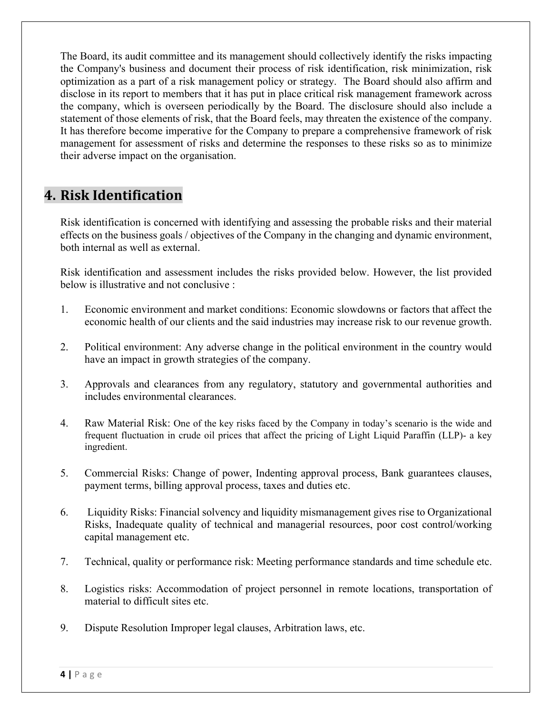The Board, its audit committee and its management should collectively identify the risks impacting the Company's business and document their process of risk identification, risk minimization, risk optimization as a part of a risk management policy or strategy. The Board should also affirm and disclose in its report to members that it has put in place critical risk management framework across the company, which is overseen periodically by the Board. The disclosure should also include a statement of those elements of risk, that the Board feels, may threaten the existence of the company. It has therefore become imperative for the Company to prepare a comprehensive framework of risk management for assessment of risks and determine the responses to these risks so as to minimize their adverse impact on the organisation.

# **4. Risk Identification**

Risk identification is concerned with identifying and assessing the probable risks and their material effects on the business goals / objectives of the Company in the changing and dynamic environment, both internal as well as external.

Risk identification and assessment includes the risks provided below. However, the list provided below is illustrative and not conclusive :

- 1. Economic environment and market conditions: Economic slowdowns or factors that affect the economic health of our clients and the said industries may increase risk to our revenue growth.
- 2. Political environment: Any adverse change in the political environment in the country would have an impact in growth strategies of the company.
- 3. Approvals and clearances from any regulatory, statutory and governmental authorities and includes environmental clearances.
- 4. Raw Material Risk: One of the key risks faced by the Company in today's scenario is the wide and frequent fluctuation in crude oil prices that affect the pricing of Light Liquid Paraffin (LLP)- a key ingredient.
- 5. Commercial Risks: Change of power, Indenting approval process, Bank guarantees clauses, payment terms, billing approval process, taxes and duties etc.
- 6. Liquidity Risks: Financial solvency and liquidity mismanagement gives rise to Organizational Risks, Inadequate quality of technical and managerial resources, poor cost control/working capital management etc.
- 7. Technical, quality or performance risk: Meeting performance standards and time schedule etc.
- 8. Logistics risks: Accommodation of project personnel in remote locations, transportation of material to difficult sites etc.
- 9. Dispute Resolution Improper legal clauses, Arbitration laws, etc.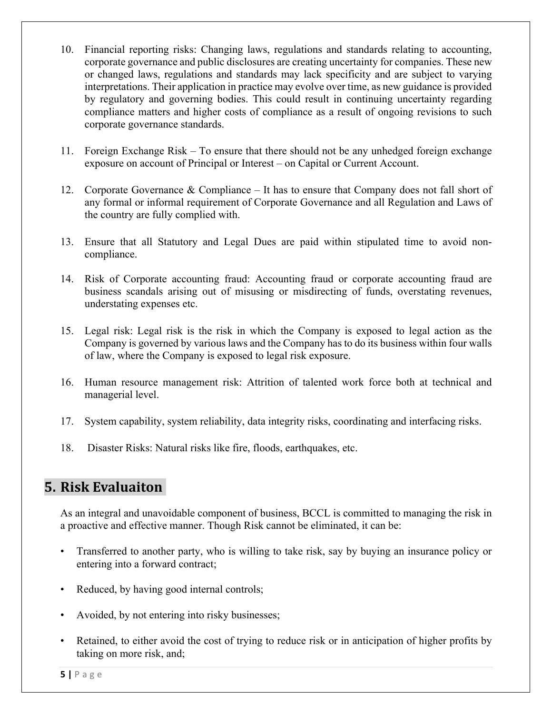- 10. Financial reporting risks: Changing laws, regulations and standards relating to accounting, corporate governance and public disclosures are creating uncertainty for companies. These new or changed laws, regulations and standards may lack specificity and are subject to varying interpretations. Their application in practice may evolve over time, as new guidance is provided by regulatory and governing bodies. This could result in continuing uncertainty regarding compliance matters and higher costs of compliance as a result of ongoing revisions to such corporate governance standards.
- 11. Foreign Exchange Risk To ensure that there should not be any unhedged foreign exchange exposure on account of Principal or Interest – on Capital or Current Account.
- 12. Corporate Governance & Compliance It has to ensure that Company does not fall short of any formal or informal requirement of Corporate Governance and all Regulation and Laws of the country are fully complied with.
- 13. Ensure that all Statutory and Legal Dues are paid within stipulated time to avoid noncompliance.
- 14. Risk of Corporate accounting fraud: Accounting fraud or corporate accounting fraud are business scandals arising out of misusing or misdirecting of funds, overstating revenues, understating expenses etc.
- 15. Legal risk: Legal risk is the risk in which the Company is exposed to legal action as the Company is governed by various laws and the Company has to do its business within four walls of law, where the Company is exposed to legal risk exposure.
- 16. Human resource management risk: Attrition of talented work force both at technical and managerial level.
- 17. System capability, system reliability, data integrity risks, coordinating and interfacing risks.
- 18. Disaster Risks: Natural risks like fire, floods, earthquakes, etc.

## **5. Risk Evaluaiton**

As an integral and unavoidable component of business, BCCL is committed to managing the risk in a proactive and effective manner. Though Risk cannot be eliminated, it can be:

- Transferred to another party, who is willing to take risk, say by buying an insurance policy or entering into a forward contract;
- Reduced, by having good internal controls;
- Avoided, by not entering into risky businesses;
- Retained, to either avoid the cost of trying to reduce risk or in anticipation of higher profits by taking on more risk, and;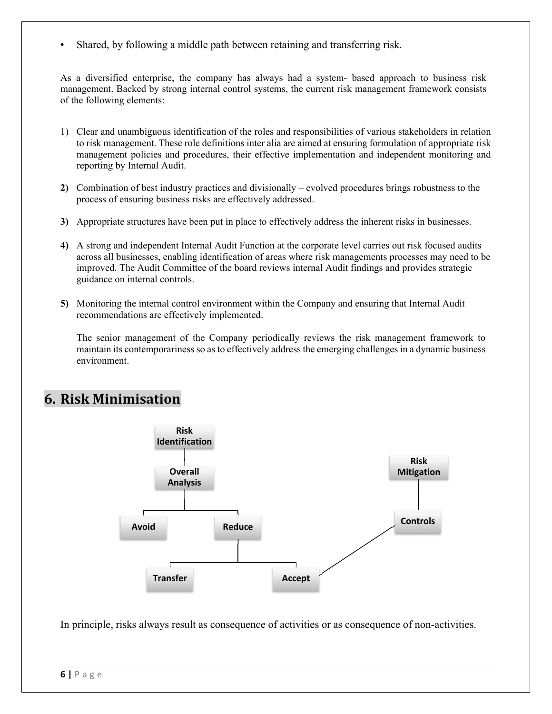Shared, by following a middle path between retaining and transferring risk.

As a diversified enterprise, the company has always had a system- based approach to business risk management. Backed by strong internal control systems, the current risk management framework consists of the following elements:

- 1) Clear and unambiguous identification of the roles and responsibilities of various stakeholders in relation to risk management. These role definitions inter alia are aimed at ensuring formulation of appropriate risk management policies and procedures, their effective implementation and independent monitoring and reporting by Internal Audit.
- **2)** Combination of best industry practices and divisionally evolved procedures brings robustness to the process of ensuring business risks are effectively addressed.
- **3)** Appropriate structures have been put in place to effectively address the inherent risks in businesses.
- **4)** A strong and independent Internal Audit Function at the corporate level carries out risk focused audits across all businesses, enabling identification of areas where risk managements processes may need to be improved. The Audit Committee of the board reviews internal Audit findings and provides strategic guidance on internal controls.
- **5)** Monitoring the internal control environment within the Company and ensuring that Internal Audit recommendations are effectively implemented.

The senior management of the Company periodically reviews the risk management framework to maintain its contemporariness so as to effectively address the emerging challenges in a dynamic business environment.

## **6. Risk Minimisation**



In principle, risks always result as consequence of activities or as consequence of non-activities.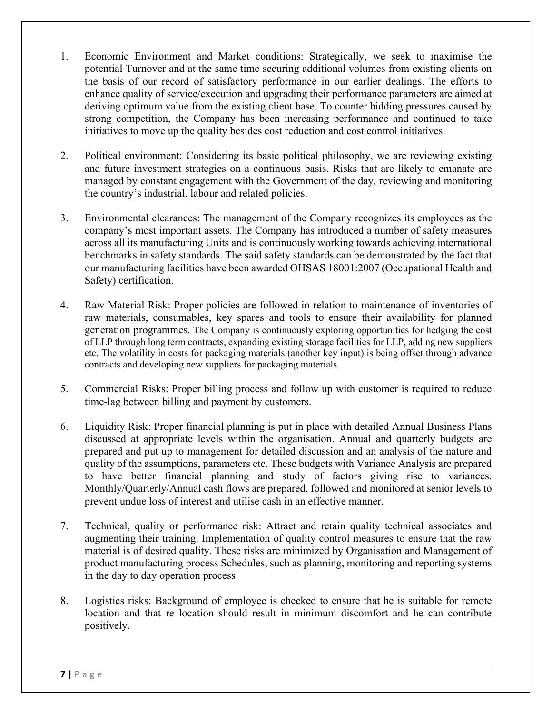- 1. Economic Environment and Market conditions: Strategically, we seek to maximise the potential Turnover and at the same time securing additional volumes from existing clients on the basis of our record of satisfactory performance in our earlier dealings. The efforts to enhance quality of service/execution and upgrading their performance parameters are aimed at deriving optimum value from the existing client base. To counter bidding pressures caused by strong competition, the Company has been increasing performance and continued to take initiatives to move up the quality besides cost reduction and cost control initiatives.
- 2. Political environment: Considering its basic political philosophy, we are reviewing existing and future investment strategies on a continuous basis. Risks that are likely to emanate are managed by constant engagement with the Government of the day, reviewing and monitoring the country's industrial, labour and related policies.
- 3. Environmental clearances: The management of the Company recognizes its employees as the company's most important assets. The Company has introduced a number of safety measures across all its manufacturing Units and is continuously working towards achieving international benchmarks in safety standards. The said safety standards can be demonstrated by the fact that our manufacturing facilities have been awarded OHSAS 18001:2007 (Occupational Health and Safety) certification.
- 4. Raw Material Risk: Proper policies are followed in relation to maintenance of inventories of raw materials, consumables, key spares and tools to ensure their availability for planned generation programmes. The Company is continuously exploring opportunities for hedging the cost of LLP through long term contracts, expanding existing storage facilities for LLP, adding new suppliers etc. The volatility in costs for packaging materials (another key input) is being offset through advance contracts and developing new suppliers for packaging materials.
- 5. Commercial Risks: Proper billing process and follow up with customer is required to reduce time-lag between billing and payment by customers.
- 6. Liquidity Risk: Proper financial planning is put in place with detailed Annual Business Plans discussed at appropriate levels within the organisation. Annual and quarterly budgets are prepared and put up to management for detailed discussion and an analysis of the nature and quality of the assumptions, parameters etc. These budgets with Variance Analysis are prepared to have better financial planning and study of factors giving rise to variances. Monthly/Quarterly/Annual cash flows are prepared, followed and monitored at senior levels to prevent undue loss of interest and utilise cash in an effective manner.
- 7. Technical, quality or performance risk: Attract and retain quality technical associates and augmenting their training. Implementation of quality control measures to ensure that the raw material is of desired quality. These risks are minimized by Organisation and Management of product manufacturing process Schedules, such as planning, monitoring and reporting systems in the day to day operation process
- 8. Logistics risks: Background of employee is checked to ensure that he is suitable for remote location and that re location should result in minimum discomfort and he can contribute positively.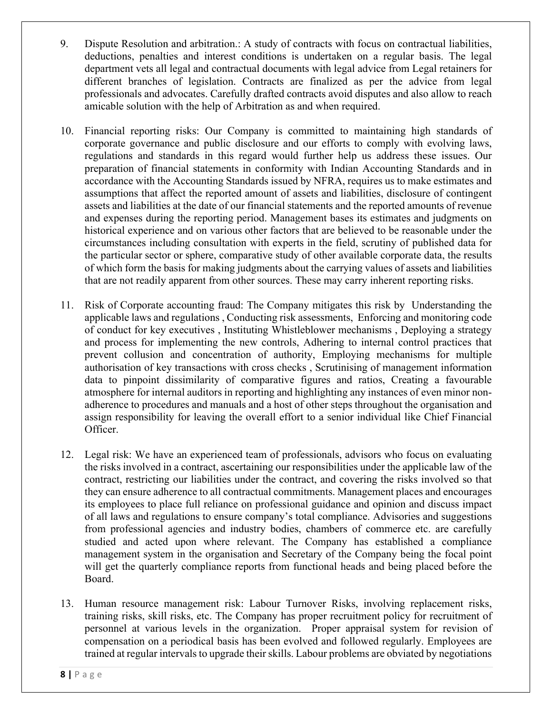- 9. Dispute Resolution and arbitration.: A study of contracts with focus on contractual liabilities, deductions, penalties and interest conditions is undertaken on a regular basis. The legal department vets all legal and contractual documents with legal advice from Legal retainers for different branches of legislation. Contracts are finalized as per the advice from legal professionals and advocates. Carefully drafted contracts avoid disputes and also allow to reach amicable solution with the help of Arbitration as and when required.
- 10. Financial reporting risks: Our Company is committed to maintaining high standards of corporate governance and public disclosure and our efforts to comply with evolving laws, regulations and standards in this regard would further help us address these issues. Our preparation of financial statements in conformity with Indian Accounting Standards and in accordance with the Accounting Standards issued by NFRA, requires us to make estimates and assumptions that affect the reported amount of assets and liabilities, disclosure of contingent assets and liabilities at the date of our financial statements and the reported amounts of revenue and expenses during the reporting period. Management bases its estimates and judgments on historical experience and on various other factors that are believed to be reasonable under the circumstances including consultation with experts in the field, scrutiny of published data for the particular sector or sphere, comparative study of other available corporate data, the results of which form the basis for making judgments about the carrying values of assets and liabilities that are not readily apparent from other sources. These may carry inherent reporting risks.
- 11. Risk of Corporate accounting fraud: The Company mitigates this risk by Understanding the applicable laws and regulations , Conducting risk assessments, Enforcing and monitoring code of conduct for key executives , Instituting Whistleblower mechanisms , Deploying a strategy and process for implementing the new controls, Adhering to internal control practices that prevent collusion and concentration of authority, Employing mechanisms for multiple authorisation of key transactions with cross checks , Scrutinising of management information data to pinpoint dissimilarity of comparative figures and ratios, Creating a favourable atmosphere for internal auditors in reporting and highlighting any instances of even minor nonadherence to procedures and manuals and a host of other steps throughout the organisation and assign responsibility for leaving the overall effort to a senior individual like Chief Financial Officer.
- 12. Legal risk: We have an experienced team of professionals, advisors who focus on evaluating the risks involved in a contract, ascertaining our responsibilities under the applicable law of the contract, restricting our liabilities under the contract, and covering the risks involved so that they can ensure adherence to all contractual commitments. Management places and encourages its employees to place full reliance on professional guidance and opinion and discuss impact of all laws and regulations to ensure company's total compliance. Advisories and suggestions from professional agencies and industry bodies, chambers of commerce etc. are carefully studied and acted upon where relevant. The Company has established a compliance management system in the organisation and Secretary of the Company being the focal point will get the quarterly compliance reports from functional heads and being placed before the Board.
- 13. Human resource management risk: Labour Turnover Risks, involving replacement risks, training risks, skill risks, etc. The Company has proper recruitment policy for recruitment of personnel at various levels in the organization. Proper appraisal system for revision of compensation on a periodical basis has been evolved and followed regularly. Employees are trained at regular intervals to upgrade their skills. Labour problems are obviated by negotiations